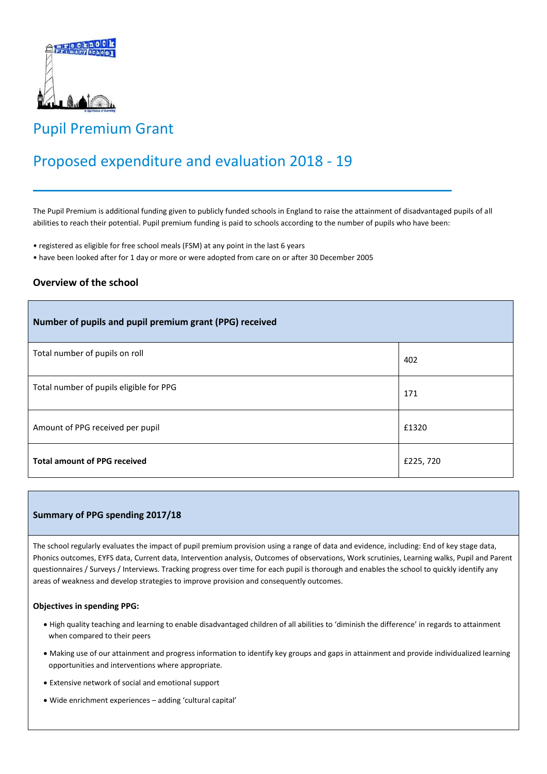

## Pupil Premium Grant

# Proposed expenditure and evaluation 2018 - 19

The Pupil Premium is additional funding given to publicly funded schools in England to raise the attainment of disadvantaged pupils of all abilities to reach their potential. Pupil premium funding is paid to schools according to the number of pupils who have been:

- registered as eligible for free school meals (FSM) at any point in the last 6 years
- have been looked after for 1 day or more or were adopted from care on or after 30 December 2005

### **Overview of the school**

| Number of pupils and pupil premium grant (PPG) received |          |
|---------------------------------------------------------|----------|
| Total number of pupils on roll                          | 402      |
| Total number of pupils eligible for PPG                 | 171      |
| Amount of PPG received per pupil                        | £1320    |
| <b>Total amount of PPG received</b>                     | £225,720 |

#### **Summary of PPG spending 2017/18**

The school regularly evaluates the impact of pupil premium provision using a range of data and evidence, including: End of key stage data, Phonics outcomes, EYFS data, Current data, Intervention analysis, Outcomes of observations, Work scrutinies, Learning walks, Pupil and Parent questionnaires / Surveys / Interviews. Tracking progress over time for each pupil is thorough and enables the school to quickly identify any areas of weakness and develop strategies to improve provision and consequently outcomes.

#### **Objectives in spending PPG:**

- High quality teaching and learning to enable disadvantaged children of all abilities to 'diminish the difference' in regards to attainment when compared to their peers
- Making use of our attainment and progress information to identify key groups and gaps in attainment and provide individualized learning opportunities and interventions where appropriate.
- Extensive network of social and emotional support
- Wide enrichment experiences adding 'cultural capital'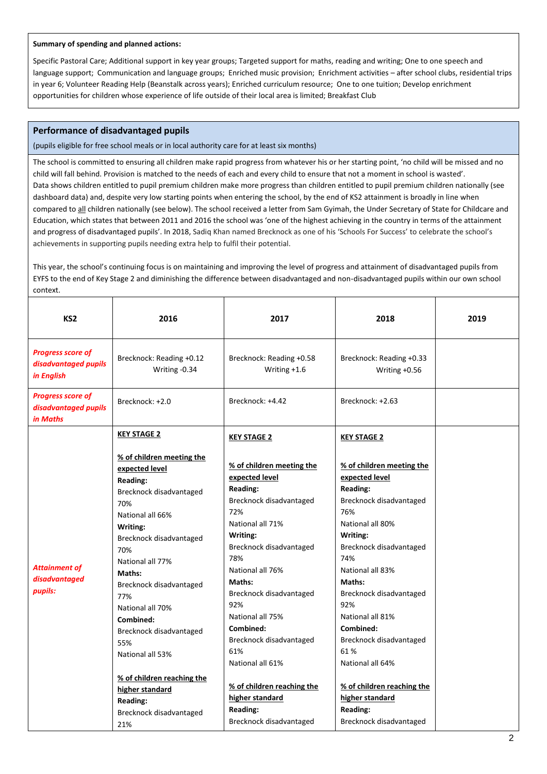#### **Summary of spending and planned actions:**

Specific Pastoral Care; Additional support in key year groups; Targeted support for maths, reading and writing; One to one speech and language support; Communication and language groups; Enriched music provision; Enrichment activities – after school clubs, residential trips in year 6; Volunteer Reading Help (Beanstalk across years); Enriched curriculum resource; One to one tuition; Develop enrichment opportunities for children whose experience of life outside of their local area is limited; Breakfast Club

#### **Performance of disadvantaged pupils**

(pupils eligible for free school meals or in local authority care for at least six months)

The school is committed to ensuring all children make rapid progress from whatever his or her starting point, 'no child will be missed and no child will fall behind. Provision is matched to the needs of each and every child to ensure that not a moment in school is wasted'. Data shows children entitled to pupil premium children make more progress than children entitled to pupil premium children nationally (see dashboard data) and, despite very low starting points when entering the school, by the end of KS2 attainment is broadly in line when compared to all children nationally (see below). The school received a letter from Sam Gyimah, the Under Secretary of State for Childcare and Education, which states that between 2011 and 2016 the school was 'one of the highest achieving in the country in terms of the attainment and progress of disadvantaged pupils'. In 2018, Sadiq Khan named Brecknock as one of his 'Schools For Success' to celebrate the school's achievements in supporting pupils needing extra help to fulfil their potential.

This year, the school's continuing focus is on maintaining and improving the level of progress and attainment of disadvantaged pupils from EYFS to the end of Key Stage 2 and diminishing the difference between disadvantaged and non-disadvantaged pupils within our own school context.

| KS <sub>2</sub>                                                | 2016                                                                                                                                                                                                                                                                                                                                                                                                                     | 2017                                                                                                                                                                                                                                                                                                                                                                                          | 2018                                                                                                                                                                                                                                                                                                                                                                                          | 2019 |
|----------------------------------------------------------------|--------------------------------------------------------------------------------------------------------------------------------------------------------------------------------------------------------------------------------------------------------------------------------------------------------------------------------------------------------------------------------------------------------------------------|-----------------------------------------------------------------------------------------------------------------------------------------------------------------------------------------------------------------------------------------------------------------------------------------------------------------------------------------------------------------------------------------------|-----------------------------------------------------------------------------------------------------------------------------------------------------------------------------------------------------------------------------------------------------------------------------------------------------------------------------------------------------------------------------------------------|------|
| <b>Progress score of</b><br>disadvantaged pupils<br>in English | Brecknock: Reading +0.12<br>Writing -0.34                                                                                                                                                                                                                                                                                                                                                                                | Brecknock: Reading +0.58<br>Writing $+1.6$                                                                                                                                                                                                                                                                                                                                                    | Brecknock: Reading +0.33<br>Writing +0.56                                                                                                                                                                                                                                                                                                                                                     |      |
| <b>Progress score of</b><br>disadvantaged pupils<br>in Maths   | Brecknock: +2.0                                                                                                                                                                                                                                                                                                                                                                                                          | Brecknock: +4.42                                                                                                                                                                                                                                                                                                                                                                              | Brecknock: +2.63                                                                                                                                                                                                                                                                                                                                                                              |      |
|                                                                | <b>KEY STAGE 2</b>                                                                                                                                                                                                                                                                                                                                                                                                       | <b>KEY STAGE 2</b>                                                                                                                                                                                                                                                                                                                                                                            | <b>KEY STAGE 2</b>                                                                                                                                                                                                                                                                                                                                                                            |      |
| <b>Attainment of</b><br>disadvantaged<br>pupils:               | % of children meeting the<br>expected level<br><b>Reading:</b><br>Brecknock disadvantaged<br>70%<br>National all 66%<br>Writing:<br>Brecknock disadvantaged<br>70%<br>National all 77%<br>Maths:<br>Brecknock disadvantaged<br>77%<br>National all 70%<br>Combined:<br>Brecknock disadvantaged<br>55%<br>National all 53%<br>% of children reaching the<br>higher standard<br><b>Reading:</b><br>Brecknock disadvantaged | % of children meeting the<br>expected level<br><b>Reading:</b><br>Brecknock disadvantaged<br>72%<br>National all 71%<br>Writing:<br>Brecknock disadvantaged<br>78%<br>National all 76%<br>Maths:<br>Brecknock disadvantaged<br>92%<br>National all 75%<br>Combined:<br>Brecknock disadvantaged<br>61%<br>National all 61%<br>% of children reaching the<br>higher standard<br><b>Reading:</b> | % of children meeting the<br>expected level<br><b>Reading:</b><br>Brecknock disadvantaged<br>76%<br>National all 80%<br>Writing:<br>Brecknock disadvantaged<br>74%<br>National all 83%<br>Maths:<br>Brecknock disadvantaged<br>92%<br>National all 81%<br>Combined:<br>Brecknock disadvantaged<br>61%<br>National all 64%<br>% of children reaching the<br>higher standard<br><b>Reading:</b> |      |
|                                                                | 21%                                                                                                                                                                                                                                                                                                                                                                                                                      | Brecknock disadvantaged                                                                                                                                                                                                                                                                                                                                                                       | Brecknock disadvantaged                                                                                                                                                                                                                                                                                                                                                                       |      |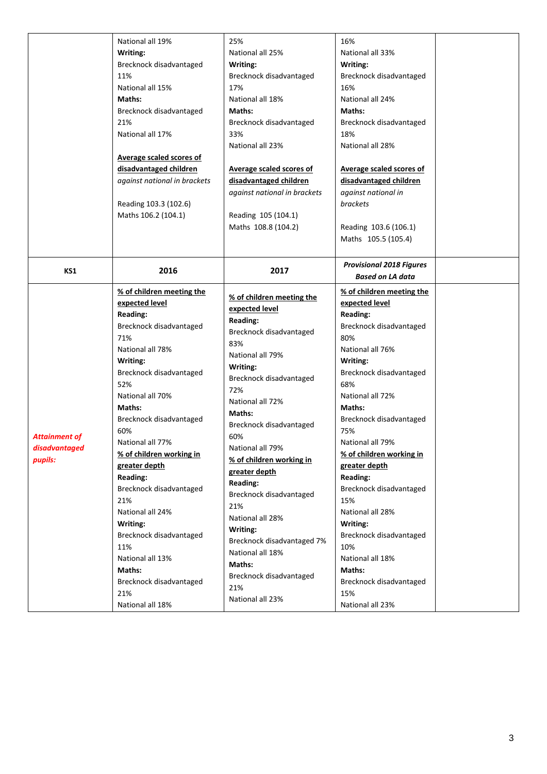|                      | National all 19%             | 25%                          | 16%                             |  |
|----------------------|------------------------------|------------------------------|---------------------------------|--|
|                      | Writing:                     | National all 25%             | National all 33%                |  |
|                      | Brecknock disadvantaged      | Writing:                     | Writing:                        |  |
|                      | 11%                          | Brecknock disadvantaged      | Brecknock disadvantaged         |  |
|                      | National all 15%             | 17%                          | 16%                             |  |
|                      | Maths:                       | National all 18%             | National all 24%                |  |
|                      | Brecknock disadvantaged      | Maths:                       | Maths:                          |  |
|                      | 21%                          | Brecknock disadvantaged      | Brecknock disadvantaged         |  |
|                      | National all 17%             | 33%                          | 18%                             |  |
|                      |                              | National all 23%             | National all 28%                |  |
|                      | Average scaled scores of     |                              |                                 |  |
|                      | disadvantaged children       | Average scaled scores of     | Average scaled scores of        |  |
|                      | against national in brackets | disadvantaged children       | disadvantaged children          |  |
|                      |                              | against national in brackets | against national in             |  |
|                      | Reading 103.3 (102.6)        |                              | brackets                        |  |
|                      | Maths 106.2 (104.1)          | Reading 105 (104.1)          |                                 |  |
|                      |                              | Maths 108.8 (104.2)          | Reading 103.6 (106.1)           |  |
|                      |                              |                              | Maths 105.5 (105.4)             |  |
|                      |                              |                              |                                 |  |
|                      |                              |                              | <b>Provisional 2018 Figures</b> |  |
| KS1                  | 2016                         | 2017                         | <b>Based on LA data</b>         |  |
|                      | % of children meeting the    |                              | % of children meeting the       |  |
|                      | expected level               | % of children meeting the    | expected level                  |  |
|                      | <b>Reading:</b>              | expected level               | <b>Reading:</b>                 |  |
|                      | Brecknock disadvantaged      | <b>Reading:</b>              | Brecknock disadvantaged         |  |
|                      | 71%                          | Brecknock disadvantaged      | 80%                             |  |
|                      | National all 78%             | 83%                          | National all 76%                |  |
|                      | Writing:                     | National all 79%             | Writing:                        |  |
|                      | Brecknock disadvantaged      | Writing:                     | Brecknock disadvantaged         |  |
|                      | 52%                          | Brecknock disadvantaged      | 68%                             |  |
|                      | National all 70%             | 72%                          | National all 72%                |  |
|                      | Maths:                       | National all 72%             | Maths:                          |  |
|                      | Brecknock disadvantaged      | Maths:                       | Brecknock disadvantaged         |  |
|                      | 60%                          | Brecknock disadvantaged      | 75%                             |  |
| <b>Attainment of</b> | National all 77%             | 60%                          | National all 79%                |  |
| disadvantaged        | % of children working in     | National all 79%             | % of children working in        |  |
| pupils:              | greater depth                | % of children working in     | greater depth                   |  |
|                      | <b>Reading:</b>              | greater depth                | <b>Reading:</b>                 |  |
|                      | Brecknock disadvantaged      | <b>Reading:</b>              | Brecknock disadvantaged         |  |
|                      | 21%                          | Brecknock disadvantaged      | 15%                             |  |
|                      | National all 24%             | 21%                          | National all 28%                |  |
|                      | Writing:                     | National all 28%             | Writing:                        |  |
|                      | Brecknock disadvantaged      | Writing:                     | Brecknock disadvantaged         |  |
|                      | 11%                          | Brecknock disadvantaged 7%   | 10%                             |  |
|                      | National all 13%             | National all 18%             | National all 18%                |  |
|                      | Maths:                       | Maths:                       | Maths:                          |  |
|                      |                              | Brecknock disadvantaged      |                                 |  |
|                      | Brecknock disadvantaged      | 21%                          | Brecknock disadvantaged         |  |
|                      | 21%                          | National all 23%             | 15%                             |  |
|                      | National all 18%             |                              | National all 23%                |  |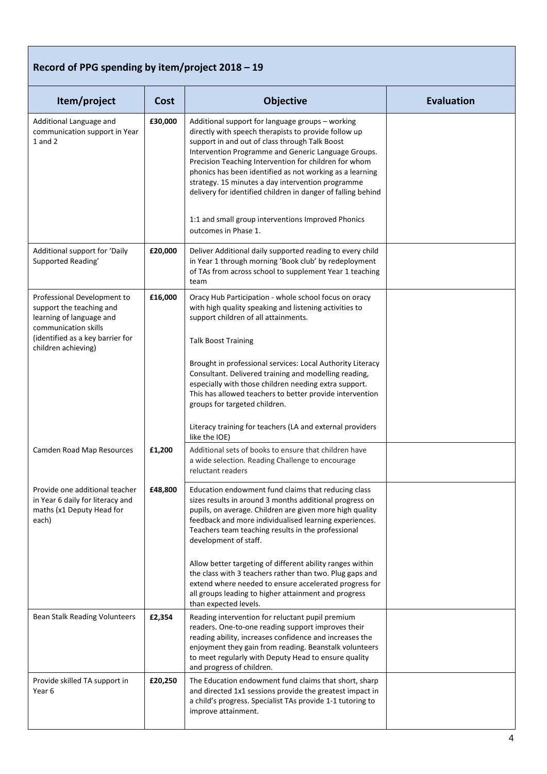### **Record of PPG spending by item/project 2018 – 19**

| Item/project                                                                                                                                    | Cost    | <b>Objective</b>                                                                                                                                                                                                                                                                                                                                                                                                                                            | <b>Evaluation</b> |
|-------------------------------------------------------------------------------------------------------------------------------------------------|---------|-------------------------------------------------------------------------------------------------------------------------------------------------------------------------------------------------------------------------------------------------------------------------------------------------------------------------------------------------------------------------------------------------------------------------------------------------------------|-------------------|
| Additional Language and<br>communication support in Year<br>$1$ and $2$                                                                         | £30,000 | Additional support for language groups - working<br>directly with speech therapists to provide follow up<br>support in and out of class through Talk Boost<br>Intervention Programme and Generic Language Groups.<br>Precision Teaching Intervention for children for whom<br>phonics has been identified as not working as a learning<br>strategy. 15 minutes a day intervention programme<br>delivery for identified children in danger of falling behind |                   |
|                                                                                                                                                 |         | 1:1 and small group interventions Improved Phonics<br>outcomes in Phase 1.                                                                                                                                                                                                                                                                                                                                                                                  |                   |
| Additional support for 'Daily<br>Supported Reading'                                                                                             | £20,000 | Deliver Additional daily supported reading to every child<br>in Year 1 through morning 'Book club' by redeployment<br>of TAs from across school to supplement Year 1 teaching<br>team                                                                                                                                                                                                                                                                       |                   |
| Professional Development to<br>support the teaching and<br>learning of language and<br>communication skills<br>(identified as a key barrier for | £16,000 | Oracy Hub Participation - whole school focus on oracy<br>with high quality speaking and listening activities to<br>support children of all attainments.<br><b>Talk Boost Training</b>                                                                                                                                                                                                                                                                       |                   |
| children achieving)                                                                                                                             |         | Brought in professional services: Local Authority Literacy<br>Consultant. Delivered training and modelling reading,<br>especially with those children needing extra support.<br>This has allowed teachers to better provide intervention<br>groups for targeted children.                                                                                                                                                                                   |                   |
|                                                                                                                                                 |         | Literacy training for teachers (LA and external providers<br>like the IOE)                                                                                                                                                                                                                                                                                                                                                                                  |                   |
| Camden Road Map Resources                                                                                                                       | £1,200  | Additional sets of books to ensure that children have<br>a wide selection. Reading Challenge to encourage<br>reluctant readers                                                                                                                                                                                                                                                                                                                              |                   |
| Provide one additional teacher<br>in Year 6 daily for literacy and<br>maths (x1 Deputy Head for<br>each)                                        | £48,800 | Education endowment fund claims that reducing class<br>sizes results in around 3 months additional progress on<br>pupils, on average. Children are given more high quality<br>feedback and more individualised learning experiences.<br>Teachers team teaching results in the professional<br>development of staff.                                                                                                                                         |                   |
|                                                                                                                                                 |         | Allow better targeting of different ability ranges within<br>the class with 3 teachers rather than two. Plug gaps and<br>extend where needed to ensure accelerated progress for<br>all groups leading to higher attainment and progress<br>than expected levels.                                                                                                                                                                                            |                   |
| Bean Stalk Reading Volunteers                                                                                                                   | £2,354  | Reading intervention for reluctant pupil premium<br>readers. One-to-one reading support improves their<br>reading ability, increases confidence and increases the<br>enjoyment they gain from reading. Beanstalk volunteers<br>to meet regularly with Deputy Head to ensure quality<br>and progress of children.                                                                                                                                            |                   |
| Provide skilled TA support in<br>Year 6                                                                                                         | £20,250 | The Education endowment fund claims that short, sharp<br>and directed 1x1 sessions provide the greatest impact in<br>a child's progress. Specialist TAs provide 1-1 tutoring to<br>improve attainment.                                                                                                                                                                                                                                                      |                   |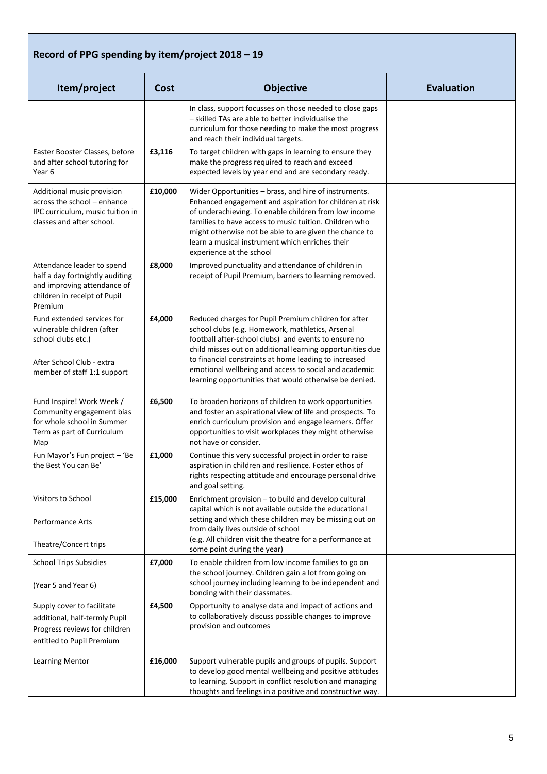### **Record of PPG spending by item/project 2018 – 19**

| Item/project                                                                                                                               | Cost    | <b>Objective</b>                                                                                                                                                                                                                                                                                                                                                                                          | <b>Evaluation</b> |
|--------------------------------------------------------------------------------------------------------------------------------------------|---------|-----------------------------------------------------------------------------------------------------------------------------------------------------------------------------------------------------------------------------------------------------------------------------------------------------------------------------------------------------------------------------------------------------------|-------------------|
|                                                                                                                                            |         | In class, support focusses on those needed to close gaps<br>- skilled TAs are able to better individualise the<br>curriculum for those needing to make the most progress<br>and reach their individual targets.                                                                                                                                                                                           |                   |
| Easter Booster Classes, before<br>and after school tutoring for<br>Year 6                                                                  | £3,116  | To target children with gaps in learning to ensure they<br>make the progress required to reach and exceed<br>expected levels by year end and are secondary ready.                                                                                                                                                                                                                                         |                   |
| Additional music provision<br>across the school - enhance<br>IPC curriculum, music tuition in<br>classes and after school.                 | £10,000 | Wider Opportunities - brass, and hire of instruments.<br>Enhanced engagement and aspiration for children at risk<br>of underachieving. To enable children from low income<br>families to have access to music tuition. Children who<br>might otherwise not be able to are given the chance to<br>learn a musical instrument which enriches their<br>experience at the school                              |                   |
| Attendance leader to spend<br>half a day fortnightly auditing<br>and improving attendance of<br>children in receipt of Pupil<br>Premium    | £8,000  | Improved punctuality and attendance of children in<br>receipt of Pupil Premium, barriers to learning removed.                                                                                                                                                                                                                                                                                             |                   |
| Fund extended services for<br>vulnerable children (after<br>school clubs etc.)<br>After School Club - extra<br>member of staff 1:1 support | £4,000  | Reduced charges for Pupil Premium children for after<br>school clubs (e.g. Homework, mathletics, Arsenal<br>football after-school clubs) and events to ensure no<br>child misses out on additional learning opportunities due<br>to financial constraints at home leading to increased<br>emotional wellbeing and access to social and academic<br>learning opportunities that would otherwise be denied. |                   |
| Fund Inspire! Work Week /<br>Community engagement bias<br>for whole school in Summer<br>Term as part of Curriculum<br>Map                  | £6,500  | To broaden horizons of children to work opportunities<br>and foster an aspirational view of life and prospects. To<br>enrich curriculum provision and engage learners. Offer<br>opportunities to visit workplaces they might otherwise<br>not have or consider.                                                                                                                                           |                   |
| Fun Mayor's Fun project - 'Be<br>the Best You can Be'                                                                                      | £1,000  | Continue this very successful project in order to raise<br>aspiration in children and resilience. Foster ethos of<br>rights respecting attitude and encourage personal drive<br>and goal setting.                                                                                                                                                                                                         |                   |
| Visitors to School<br>Performance Arts<br>Theatre/Concert trips                                                                            | £15,000 | Enrichment provision - to build and develop cultural<br>capital which is not available outside the educational<br>setting and which these children may be missing out on<br>from daily lives outside of school<br>(e.g. All children visit the theatre for a performance at                                                                                                                               |                   |
| <b>School Trips Subsidies</b>                                                                                                              | £7,000  | some point during the year)<br>To enable children from low income families to go on                                                                                                                                                                                                                                                                                                                       |                   |
| (Year 5 and Year 6)                                                                                                                        |         | the school journey. Children gain a lot from going on<br>school journey including learning to be independent and<br>bonding with their classmates.                                                                                                                                                                                                                                                        |                   |
| Supply cover to facilitate<br>additional, half-termly Pupil<br>Progress reviews for children<br>entitled to Pupil Premium                  | £4,500  | Opportunity to analyse data and impact of actions and<br>to collaboratively discuss possible changes to improve<br>provision and outcomes                                                                                                                                                                                                                                                                 |                   |
| Learning Mentor                                                                                                                            | £16,000 | Support vulnerable pupils and groups of pupils. Support<br>to develop good mental wellbeing and positive attitudes<br>to learning. Support in conflict resolution and managing<br>thoughts and feelings in a positive and constructive way.                                                                                                                                                               |                   |